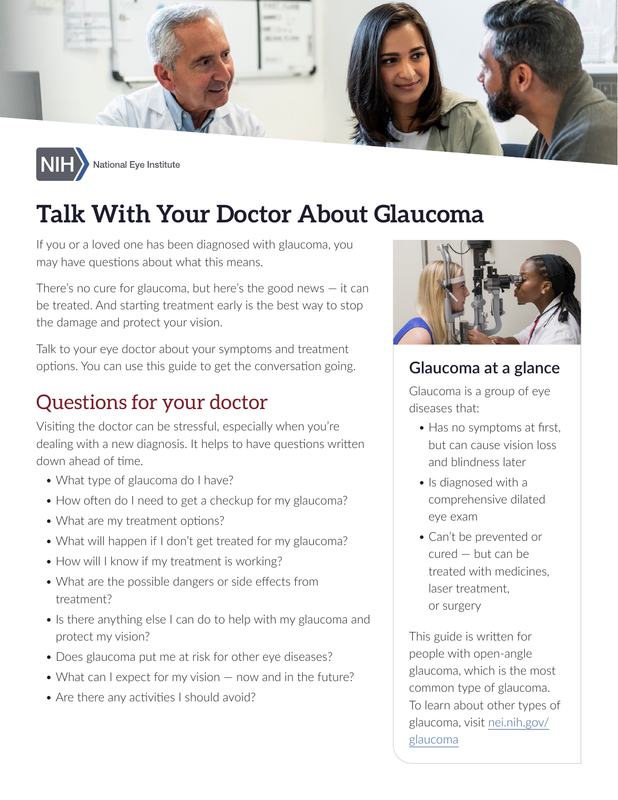



# **Talk With Your Doctor About Glaucoma**

If you or a loved one has been diagnosed with glaucoma, you may have questions about what this means.

There's no cure for glaucoma, but here's the good news  $-$  it can be treated. And starting treatment early is the best way to stop the damage and protect your vision.

Talk to your eye doctor about your symptoms and treatment options. You can use this guide to get the conversation going.

### Questions for your doctor

Visiting the doctor can be stressful, especially when you're dealing with a new diagnosis. It helps to have questions written down ahead of time.

- What type of glaucoma do I have?
- How often do I need to get a checkup for my glaucoma?
- What are my treatment options?
- What will happen if I don't get treated for my glaucoma?
- How will I know if my treatment is working?
- What are the possible dangers or side effects from treatment?
- Is there anything else I can do to help with my glaucoma and protect my vision?
- Does glaucoma put me at risk for other eye diseases?
- What can I expect for my vision now and in the future?
- Are there any activities I should avoid?



#### **Glaucoma at a glance**

Glaucoma is a group of eye diseases that:

- Has no symptoms at first, but can cause vision loss and blindness later
- Is diagnosed with a comprehensive dilated eye exam
- Can't be prevented or  $cured - but can be$ treated with medicines. laser treatment. or surgery

This guide is written for people with open-angle glaucoma, which is the most common type of glaucoma. To learn about other types of glaucoma, visit [nei.nih.gov/](https://nei.nih.gov/glaucoma) [glaucoma](https://nei.nih.gov/glaucoma)